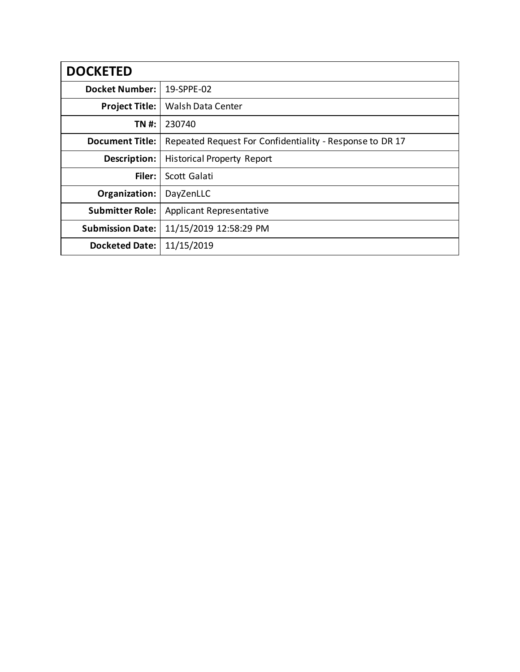| <b>DOCKETED</b>         |                                                          |
|-------------------------|----------------------------------------------------------|
| <b>Docket Number:</b>   | 19-SPPE-02                                               |
| <b>Project Title:</b>   | Walsh Data Center                                        |
| TN #:                   | 230740                                                   |
| <b>Document Title:</b>  | Repeated Request For Confidentiality - Response to DR 17 |
| Description:            | <b>Historical Property Report</b>                        |
| Filer:                  | Scott Galati                                             |
| Organization:           | DayZenLLC                                                |
| <b>Submitter Role:</b>  | <b>Applicant Representative</b>                          |
| <b>Submission Date:</b> | 11/15/2019 12:58:29 PM                                   |
| <b>Docketed Date:</b>   | 11/15/2019                                               |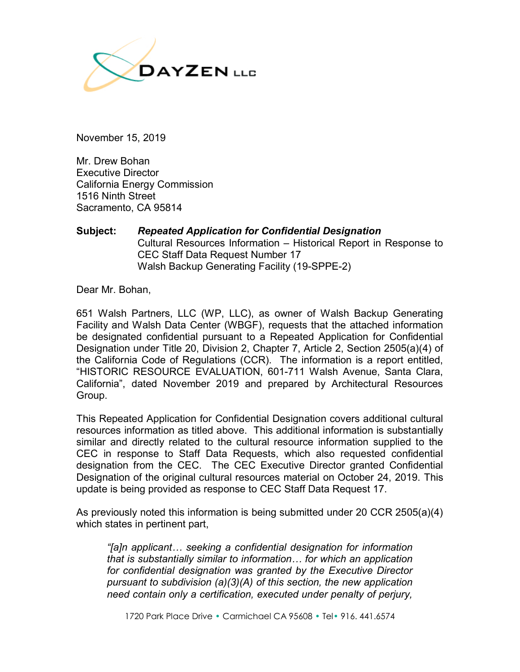

November 15, 2019

Mr. Drew Bohan Executive Director California Energy Commission 1516 Ninth Street Sacramento, CA 95814

## **Subject:** *Repeated Application for Confidential Designation* Cultural Resources Information – Historical Report in Response to CEC Staff Data Request Number 17 Walsh Backup Generating Facility (19-SPPE-2)

Dear Mr. Bohan,

651 Walsh Partners, LLC (WP, LLC), as owner of Walsh Backup Generating Facility and Walsh Data Center (WBGF), requests that the attached information be designated confidential pursuant to a Repeated Application for Confidential Designation under Title 20, Division 2, Chapter 7, Article 2, Section 2505(a)(4) of the California Code of Regulations (CCR). The information is a report entitled, "HISTORIC RESOURCE EVALUATION, 601-711 Walsh Avenue, Santa Clara, California", dated November 2019 and prepared by Architectural Resources Group.

This Repeated Application for Confidential Designation covers additional cultural resources information as titled above. This additional information is substantially similar and directly related to the cultural resource information supplied to the CEC in response to Staff Data Requests, which also requested confidential designation from the CEC. The CEC Executive Director granted Confidential Designation of the original cultural resources material on October 24, 2019. This update is being provided as response to CEC Staff Data Request 17.

As previously noted this information is being submitted under 20 CCR 2505(a)(4) which states in pertinent part,

*"[a]n applicant… seeking a confidential designation for information that is substantially similar to information… for which an application for confidential designation was granted by the Executive Director pursuant to subdivision (a)(3)(A) of this section, the new application need contain only a certification, executed under penalty of perjury,*